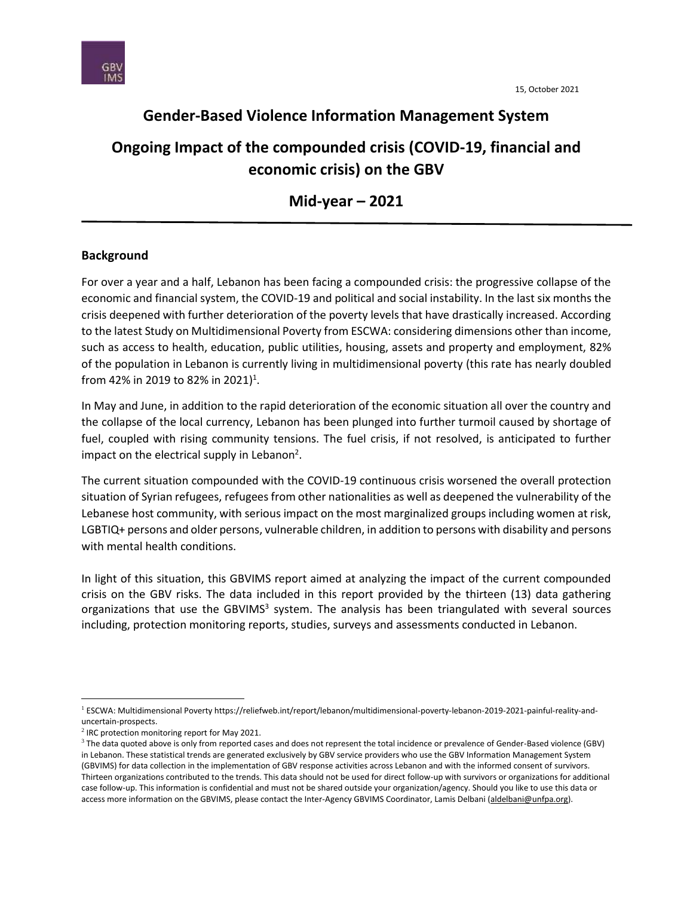

## **Gender-Based Violence Information Management System**

# **Ongoing Impact of the compounded crisis (COVID-19, financial and economic crisis) on the GBV**

**Mid-year – 2021**

### **Background**

For over a year and a half, Lebanon has been facing a compounded crisis: the progressive collapse of the economic and financial system, the COVID-19 and political and social instability. In the last six months the crisis deepened with further deterioration of the poverty levels that have drastically increased. According to the latest Study on Multidimensional Poverty from ESCWA: considering dimensions other than income, such as access to health, education, public utilities, housing, assets and property and employment, 82% of the population in Lebanon is currently living in multidimensional poverty (this rate has nearly doubled from 42% in 2019 to 82% in 2021)<sup>1</sup>.

In May and June, in addition to the rapid deterioration of the economic situation all over the country and the collapse of the local currency, Lebanon has been plunged into further turmoil caused by shortage of fuel, coupled with rising community tensions. The fuel crisis, if not resolved, is anticipated to further impact on the electrical supply in Lebanon<sup>2</sup>.

The current situation compounded with the COVID-19 continuous crisis worsened the overall protection situation of Syrian refugees, refugees from other nationalities as well as deepened the vulnerability of the Lebanese host community, with serious impact on the most marginalized groups including women at risk, LGBTIQ+ persons and older persons, vulnerable children, in addition to persons with disability and persons with mental health conditions.

In light of this situation, this GBVIMS report aimed at analyzing the impact of the current compounded crisis on the GBV risks. The data included in this report provided by the thirteen (13) data gathering organizations that use the GBVIMS<sup>3</sup> system. The analysis has been triangulated with several sources including, protection monitoring reports, studies, surveys and assessments conducted in Lebanon.

<sup>1</sup> ESCWA: Multidimensional Poverty https://reliefweb.int/report/lebanon/multidimensional-poverty-lebanon-2019-2021-painful-reality-anduncertain-prospects.

 $2$  IRC protection monitoring report for May 2021.

 $3$  The data quoted above is only from reported cases and does not represent the total incidence or prevalence of Gender-Based violence (GBV) in Lebanon. These statistical trends are generated exclusively by GBV service providers who use the GBV Information Management System (GBVIMS) for data collection in the implementation of GBV response activities across Lebanon and with the informed consent of survivors. Thirteen organizations contributed to the trends. This data should not be used for direct follow-up with survivors or organizations for additional case follow-up. This information is confidential and must not be shared outside your organization/agency. Should you like to use this data or access more information on the GBVIMS, please contact the Inter-Agency GBVIMS Coordinator, Lamis Delbani [\(aldelbani@unfpa.org\)](mailto:aldelbani@unfpa.org).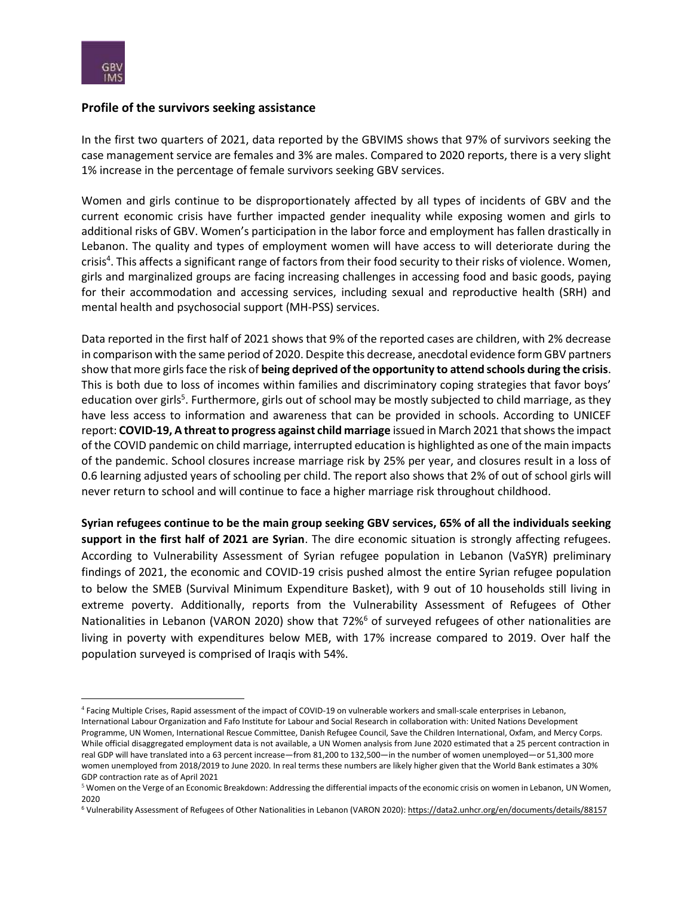

#### **Profile of the survivors seeking assistance**

In the first two quarters of 2021, data reported by the GBVIMS shows that 97% of survivors seeking the case management service are females and 3% are males. Compared to 2020 reports, there is a very slight 1% increase in the percentage of female survivors seeking GBV services.

Women and girls continue to be disproportionately affected by all types of incidents of GBV and the current economic crisis have further impacted gender inequality while exposing women and girls to additional risks of GBV. Women's participation in the labor force and employment has fallen drastically in Lebanon. The quality and types of employment women will have access to will deteriorate during the crisis<sup>4</sup>. This affects a significant range of factors from their food security to their risks of violence. Women, girls and marginalized groups are facing increasing challenges in accessing food and basic goods, paying for their accommodation and accessing services, including sexual and reproductive health (SRH) and mental health and psychosocial support (MH-PSS) services.

Data reported in the first half of 2021 shows that 9% of the reported cases are children, with 2% decrease in comparison with the same period of 2020. Despite this decrease, anecdotal evidence form GBV partners show that more girls face the risk of **being deprived of the opportunity to attend schools during the crisis**. This is both due to loss of incomes within families and discriminatory coping strategies that favor boys' education over girls<sup>5</sup>. Furthermore, girls out of school may be mostly subjected to child marriage, as they have less access to information and awareness that can be provided in schools. According to UNICEF report: **COVID-19, A threat to progress against child marriage** issued in March 2021 that shows the impact of the COVID pandemic on child marriage, interrupted education is highlighted as one of the main impacts of the pandemic. School closures increase marriage risk by 25% per year, and closures result in a loss of 0.6 learning adjusted years of schooling per child. The report also shows that 2% of out of school girls will never return to school and will continue to face a higher marriage risk throughout childhood.

**Syrian refugees continue to be the main group seeking GBV services, 65% of all the individuals seeking support in the first half of 2021 are Syrian**. The dire economic situation is strongly affecting refugees. According to Vulnerability Assessment of Syrian refugee population in Lebanon (VaSYR) preliminary findings of 2021, the economic and COVID-19 crisis pushed almost the entire Syrian refugee population to below the SMEB (Survival Minimum Expenditure Basket), with 9 out of 10 households still living in extreme poverty. Additionally, reports from the Vulnerability Assessment of Refugees of Other Nationalities in Lebanon (VARON 2020) show that 72%<sup>6</sup> of surveyed refugees of other nationalities are living in poverty with expenditures below MEB, with 17% increase compared to 2019. Over half the population surveyed is comprised of Iraqis with 54%.

<sup>4</sup> Facing Multiple Crises, Rapid assessment of the impact of COVID-19 on vulnerable workers and small-scale enterprises in Lebanon, International Labour Organization and Fafo Institute for Labour and Social Research in collaboration with: United Nations Development Programme, UN Women, International Rescue Committee, Danish Refugee Council, Save the Children International, Oxfam, and Mercy Corps. While official disaggregated employment data is not available, a UN Women analysis from June 2020 estimated that a 25 percent contraction in real GDP will have translated into a 63 percent increase—from 81,200 to 132,500—in the number of women unemployed—or 51,300 more women unemployed from 2018/2019 to June 2020. In real terms these numbers are likely higher given that the World Bank estimates a 30% GDP contraction rate as of April 2021

 $5$  Women on the Verge of an Economic Breakdown: Addressing the differential impacts of the economic crisis on women in Lebanon, UN Women, 2020

<sup>6</sup> Vulnerability Assessment of Refugees of Other Nationalities in Lebanon (VARON 2020)[: https://data2.unhcr.org/en/documents/details/88157](https://data2.unhcr.org/en/documents/details/88157)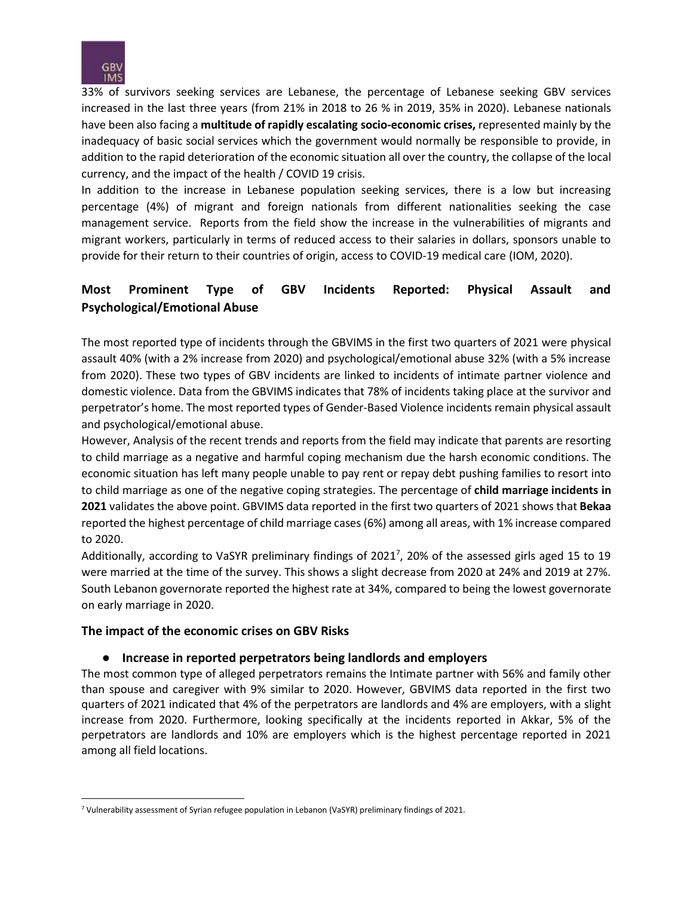

33% of survivors seeking services are Lebanese, the percentage of Lebanese seeking GBV services increased in the last three years (from 21% in 2018 to 26 % in 2019, 35% in 2020). Lebanese nationals have been also facing a **multitude of rapidly escalating socio-economic crises,** represented mainly by the inadequacy of basic social services which the government would normally be responsible to provide, in addition to the rapid deterioration of the economic situation all over the country, the collapse of the local currency, and the impact of the health / COVID 19 crisis.

In addition to the increase in Lebanese population seeking services, there is a low but increasing percentage (4%) of migrant and foreign nationals from different nationalities seeking the case management service. Reports from the field show the increase in the vulnerabilities of migrants and migrant workers, particularly in terms of reduced access to their salaries in dollars, sponsors unable to provide for their return to their countries of origin, access to COVID-19 medical care (IOM, 2020).

## **Most Prominent Type of GBV Incidents Reported: Physical Assault and Psychological/Emotional Abuse**

The most reported type of incidents through the GBVIMS in the first two quarters of 2021 were physical assault 40% (with a 2% increase from 2020) and psychological/emotional abuse 32% (with a 5% increase from 2020). These two types of GBV incidents are linked to incidents of intimate partner violence and domestic violence. Data from the GBVIMS indicates that 78% of incidents taking place at the survivor and perpetrator's home. The most reported types of Gender-Based Violence incidents remain physical assault and psychological/emotional abuse.

However, Analysis of the recent trends and reports from the field may indicate that parents are resorting to child marriage as a negative and harmful coping mechanism due the harsh economic conditions. The economic situation has left many people unable to pay rent or repay debt pushing families to resort into to child marriage as one of the negative coping strategies. The percentage of **child marriage incidents in 2021** validates the above point. GBVIMS data reported in the first two quarters of 2021 shows that **Bekaa**  reported the highest percentage of child marriage cases (6%) among all areas, with 1% increase compared to 2020.

Additionally, according to VaSYR preliminary findings of 2021<sup>7</sup>, 20% of the assessed girls aged 15 to 19 were married at the time of the survey. This shows a slight decrease from 2020 at 24% and 2019 at 27%. South Lebanon governorate reported the highest rate at 34%, compared to being the lowest governorate on early marriage in 2020.

#### **The impact of the economic crises on GBV Risks**

#### ● **Increase in reported perpetrators being landlords and employers**

The most common type of alleged perpetrators remains the Intimate partner with 56% and family other than spouse and caregiver with 9% similar to 2020. However, GBVIMS data reported in the first two quarters of 2021 indicated that 4% of the perpetrators are landlords and 4% are employers, with a slight increase from 2020. Furthermore, looking specifically at the incidents reported in Akkar, 5% of the perpetrators are landlords and 10% are employers which is the highest percentage reported in 2021 among all field locations.

<sup>7</sup> Vulnerability assessment of Syrian refugee population in Lebanon (VaSYR) preliminary findings of 2021.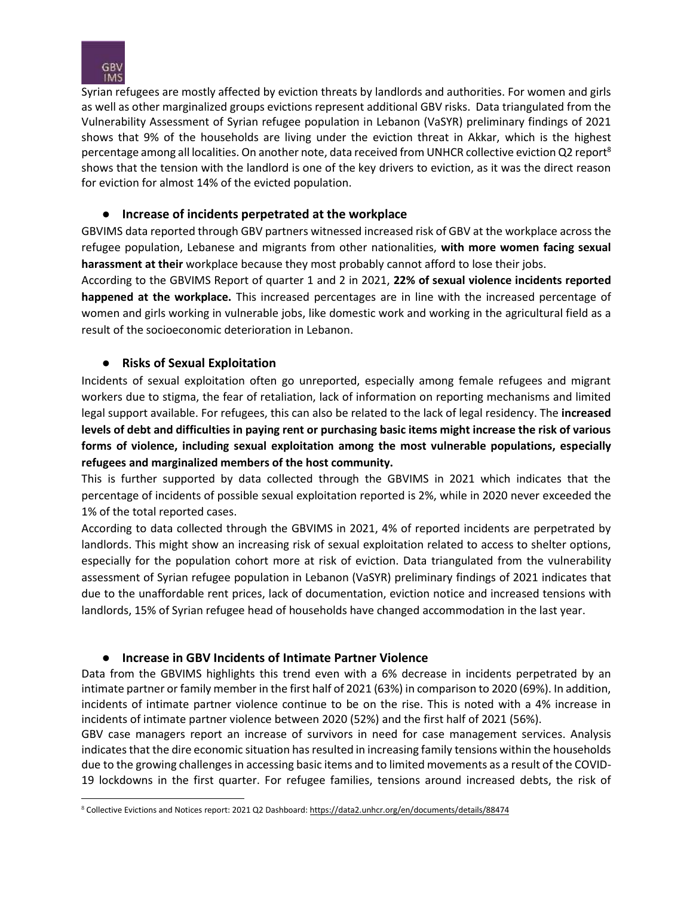

Syrian refugees are mostly affected by eviction threats by landlords and authorities. For women and girls as well as other marginalized groups evictions represent additional GBV risks. Data triangulated from the Vulnerability Assessment of Syrian refugee population in Lebanon (VaSYR) preliminary findings of 2021 shows that 9% of the households are living under the eviction threat in Akkar, which is the highest percentage among all localities. On another note, data received from UNHCR collective eviction Q2 report<sup>8</sup> shows that the tension with the landlord is one of the key drivers to eviction, as it was the direct reason for eviction for almost 14% of the evicted population.

#### ● **Increase of incidents perpetrated at the workplace**

GBVIMS data reported through GBV partners witnessed increased risk of GBV at the workplace across the refugee population, Lebanese and migrants from other nationalities, **with more women facing sexual harassment at their** workplace because they most probably cannot afford to lose their jobs.

According to the GBVIMS Report of quarter 1 and 2 in 2021, **22% of sexual violence incidents reported happened at the workplace.** This increased percentages are in line with the increased percentage of women and girls working in vulnerable jobs, like domestic work and working in the agricultural field as a result of the socioeconomic deterioration in Lebanon.

#### ● **Risks of Sexual Exploitation**

Incidents of sexual exploitation often go unreported, especially among female refugees and migrant workers due to stigma, the fear of retaliation, lack of information on reporting mechanisms and limited legal support available. For refugees, this can also be related to the lack of legal residency. The **increased levels of debt and difficulties in paying rent or purchasing basic items might increase the risk of various forms of violence, including sexual exploitation among the most vulnerable populations, especially refugees and marginalized members of the host community.** 

This is further supported by data collected through the GBVIMS in 2021 which indicates that the percentage of incidents of possible sexual exploitation reported is 2%, while in 2020 never exceeded the 1% of the total reported cases.

According to data collected through the GBVIMS in 2021, 4% of reported incidents are perpetrated by landlords. This might show an increasing risk of sexual exploitation related to access to shelter options, especially for the population cohort more at risk of eviction. Data triangulated from the vulnerability assessment of Syrian refugee population in Lebanon (VaSYR) preliminary findings of 2021 indicates that due to the unaffordable rent prices, lack of documentation, eviction notice and increased tensions with landlords, 15% of Syrian refugee head of households have changed accommodation in the last year.

#### ● **Increase in GBV Incidents of Intimate Partner Violence**

Data from the GBVIMS highlights this trend even with a 6% decrease in incidents perpetrated by an intimate partner or family member in the first half of 2021 (63%) in comparison to 2020 (69%). In addition, incidents of intimate partner violence continue to be on the rise. This is noted with a 4% increase in incidents of intimate partner violence between 2020 (52%) and the first half of 2021 (56%).

GBV case managers report an increase of survivors in need for case management services. Analysis indicates that the dire economic situation has resulted in increasing family tensions within the households due to the growing challenges in accessing basic items and to limited movements as a result of the COVID-19 lockdowns in the first quarter. For refugee families, tensions around increased debts, the risk of

<sup>&</sup>lt;sup>8</sup> Collective Evictions and Notices report: 2021 Q2 Dashboard[: https://data2.unhcr.org/en/documents/details/88474](https://data2.unhcr.org/en/documents/details/88474)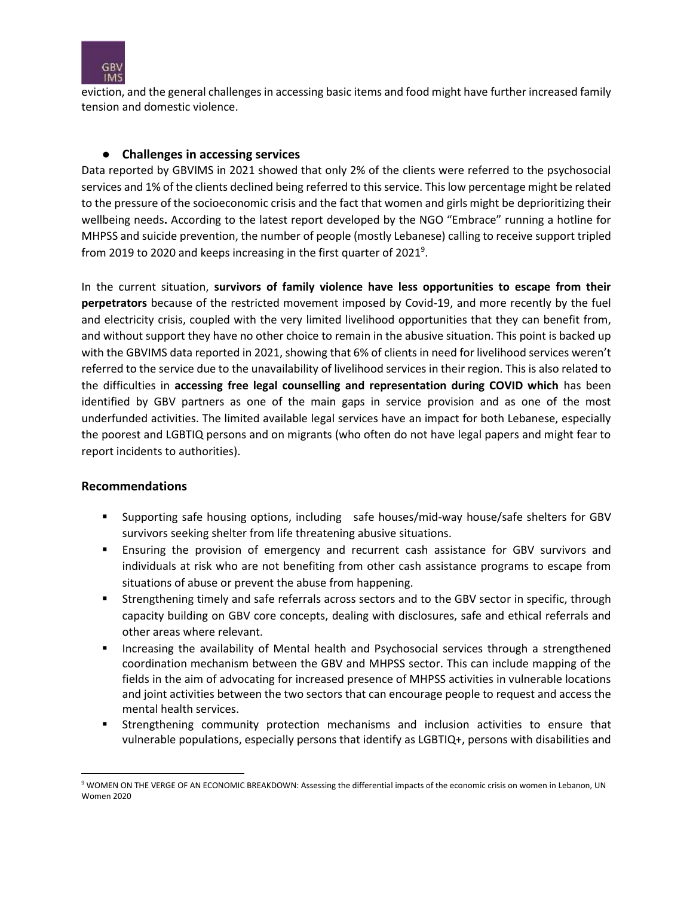

eviction, and the general challenges in accessing basic items and food might have further increased family tension and domestic violence.

#### ● **Challenges in accessing services**

Data reported by GBVIMS in 2021 showed that only 2% of the clients were referred to the psychosocial services and 1% of the clients declined being referred to this service. This low percentage might be related to the pressure of the socioeconomic crisis and the fact that women and girls might be deprioritizing their wellbeing needs**.** According to the latest report developed by the NGO "Embrace" running a hotline for MHPSS and suicide prevention, the number of people (mostly Lebanese) calling to receive support tripled from 2019 to 2020 and keeps increasing in the first quarter of 2021<sup>9</sup>.

In the current situation, **survivors of family violence have less opportunities to escape from their perpetrators** because of the restricted movement imposed by Covid-19, and more recently by the fuel and electricity crisis, coupled with the very limited livelihood opportunities that they can benefit from, and without support they have no other choice to remain in the abusive situation. This point is backed up with the GBVIMS data reported in 2021, showing that 6% of clients in need for livelihood services weren't referred to the service due to the unavailability of livelihood services in their region. This is also related to the difficulties in **accessing free legal counselling and representation during COVID which** has been identified by GBV partners as one of the main gaps in service provision and as one of the most underfunded activities. The limited available legal services have an impact for both Lebanese, especially the poorest and LGBTIQ persons and on migrants (who often do not have legal papers and might fear to report incidents to authorities).

#### **Recommendations**

- Supporting safe housing options, including safe houses/mid-way house/safe shelters for GBV survivors seeking shelter from life threatening abusive situations.
- Ensuring the provision of emergency and recurrent cash assistance for GBV survivors and individuals at risk who are not benefiting from other cash assistance programs to escape from situations of abuse or prevent the abuse from happening.
- **EXECT** Strengthening timely and safe referrals across sectors and to the GBV sector in specific, through capacity building on GBV core concepts, dealing with disclosures, safe and ethical referrals and other areas where relevant.
- **■** Increasing the availability of Mental health and Psychosocial services through a strengthened coordination mechanism between the GBV and MHPSS sector. This can include mapping of the fields in the aim of advocating for increased presence of MHPSS activities in vulnerable locations and joint activities between the two sectors that can encourage people to request and access the mental health services.
- **EXECT** Strengthening community protection mechanisms and inclusion activities to ensure that vulnerable populations, especially persons that identify as LGBTIQ+, persons with disabilities and

<sup>9</sup> WOMEN ON THE VERGE OF AN ECONOMIC BREAKDOWN: Assessing the differential impacts of the economic crisis on women in Lebanon, UN Women 2020